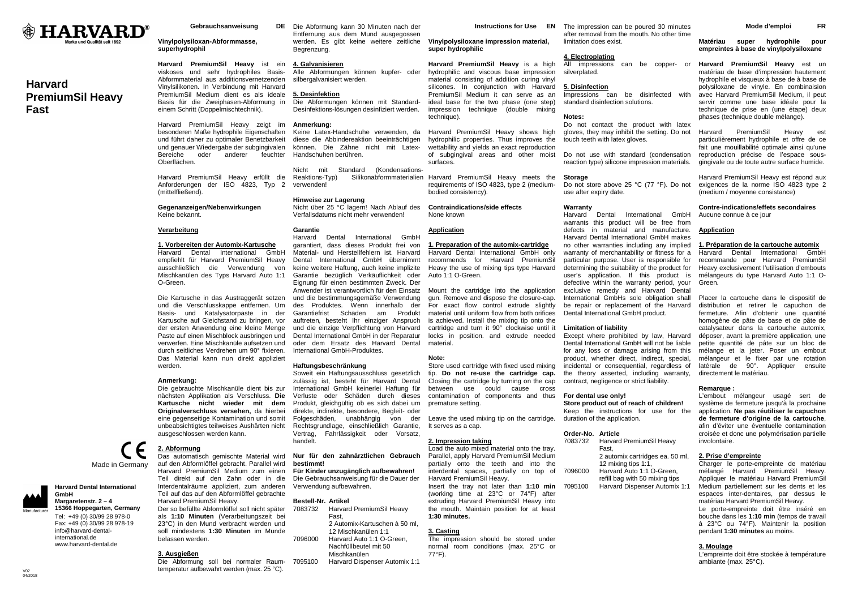

# **Harvard PremiumSil Heavy Fast**

Gebrauchsanweisung

# **Vinylpolysiloxan-Abformmasse, superhydrophil**

**Harvard PremiumSil Heavy** ist ein viskoses und sehr hydrophiles Basis-Abformmaterial aus additionsvernetzenden Vinylsilikonen. In Verbindung mit Harvard PremiumSil Medium dient es als ideale Basis für die Zweiphasen-Abformung in einem Schritt (Doppelmischtechnik).

Harvard PremiumSil Heavy zeigt im besonderen Maße hydrophile Eigenschaften und führt daher zu optimaler Benetzbarkeit und genauer Wiedergabe der subgingivalen können. Die Zähne nicht mit Latex- Bereiche oder anderer feuchter Handschuhen berühren. Oberflächen.

Harvard PremiumSil Heavy erfüllt die Anforderungen der ISO 4823, Typ 2 verwenden! (mittelfließend).

**Gegenanzeigen/Nebenwirkungen** Keine bekannt.

# **Verarbeitung**

# **1. Vorbereiten der Automix-Kartusche**

 $GmhH$ Harvard Dental International empfiehlt für Harvard PremiumSil Heavy ausschließlich die Verwendung von Mischkanülen des Typs Harvard Auto 1:1 O-Green.

Die Kartusche in das Austraggerät setzen und die Verschlusskappe entfernen. Um Basis- und Katalysatorpaste in der Kartusche auf Gleichstand zu bringen, vor der ersten Anwendung eine kleine Menge Paste auf einen Mischblock ausbringen und verwerfen. Eine Mischkanüle aufsetzen und durch seitliches Verdrehen um 90° fixieren. Das Material kann nun direkt appliziert werden.

# **Anmerkung:**

 Die gebrauchte Mischkanüle dient bis zur nächsten Applikation als Verschluss. **Die Kartusche nicht wieder mit dem Originalverschluss versehen,** da hierbei eine gegenseitige Kontamination und somit unbeabsichtigtes teilweises Aushärten nicht ausgeschlossen werden kann.

Made in Germany

**Harvard Dental International GmbH Margaretenstr. 2 – 4 15366 Hoppegarten, Germany**Tel: +49 (0) 30/99 28 978-0 Fax: +49 (0) 30/99 28 978-19 info@harvard-dentalinternational de www.harvard-dental.de

**2. Abformung**Das automatisch gemischte Material wird

 auf den Abformlöffel gebracht. Parallel wird Harvard PremiumSil Medium zum einen Teil direkt auf den Zahn oder in die Interdentalräume appliziert, zum anderen

> Teil auf das auf den Abformlöffel gebrachte Harvard PremiumSil Heavy. Der so befüllte Abformlöffel soll nicht später als **1:10 Minuten** (Verarbeitungszeit bei 23°C) in den Mund verbracht werden und soll mindestens **1:30 Minuten** im Munde belassen werden.

# **3. Ausgießen**

 Die Abformung soll bei normaler Raumtemperatur aufbewahrt werden (max. 25 °C).

DE Die Abformung kann 30 Minuten nach der Entfernung aus dem Mund ausgegossen werden. Es gibt keine weitere zeitliche Begrenzung. **Vinylpolysiloxane impression material, super hydrophilic** 

#### **4. Galvanisieren**

 Alle Abformungen können kupfer- oder silbergalvanisiert werden.

# **5. Desinfektion**

 Die Abformungen können mit Standard-Desinfektions-lösungen desinfiziert werden.

# **Anmerkung:**

 Keine Latex-Handschuhe verwenden, da diese die Abbindereaktion beeinträchtigen Harvard PremiumSil Heavy shows high surfaces.

Nicht mit Standard (Kondensations-<br>Reaktions-Typ) Silikonabformmaterialier Reaktions-Typ) Silikonabformmaterialien Harvard PremiumSil Heavy meets the

# **Hinweise zur Lagerung**

 Nicht über 25 °C lagern! Nach Ablauf des Verfallsdatums nicht mehr verwenden!

# **Garantie**

 Harvard Dental International GmbH garantiert, dass dieses Produkt frei von Material- und Herstellfehlern ist. Harvard Dental International GmbH übernimmt keine weitere Haftung, auch keine implizite Garantie bezüglich Verkäuflichkeit oder Eignung für einen bestimmten Zweck. Der Anwender ist verantwortlich für den Einsatz Mount the cartridge into the application und die bestimmungsgemäße Verwendung des Produktes. Wenn innerhalb der Garantiefrist Schäden am Produkt auftreten, besteht Ihr einziger Anspruch und die einzige Verpflichtung von Harvard Dental International GmbH in der Reparatur locks in position. and extrude needed oder dem Ersatz des Harvard Dental International GmbH-Produktes. material.

#### **Haftungsbeschränkung**

 Soweit ein Haftungsausschluss gesetzlich zulässig ist, besteht für Harvard Dental International GmbH keinerlei Haftung für Verluste oder Schäden durch dieses Produkt, gleichgültig ob es sich dabei um direkte, indirekte, besondere, Begleit- oder Folgeschäden, unabhängig von der Leave the used mixing tip on the cartridge. Rechtsgrundlage, einschließlich Garantie, It serves as a cap. Vertrag, Fahrlässigkeit oder Vorsatz, handelt.

# **Nur für den zahnärztlichen Gebrauch bestimmt!**

 **Für Kinder unzugänglich aufbewahren!**  Die Gebrauchsanweisung für die Dauer der Verwendung aufbewahren.

## **Bestell-Nr. Artikel**

 7083732 Harvard PremiumSil Heavy Fast, 2 Automix-Kartuschen à 50 ml, 12 Mischkanülen 1:1 7096000 Harvard Auto 1:1 O-Green, Nachfüllbeutel mit 50 Mischkanülen 7095100 Harvard Dispenser Automix 1:1

**Instructions for Use EN** The impression can be poured 30 minutes

**Harvard PremiumSil Heavy** is a high hydrophilic and viscous base impression material consisting of addition curing vinyl silicones. In conjunction with Harvard

 hydrophilic properties. Thus improves the wettability and yields an exact reproduction

 For exact flow control extrude slightly material until uniform flow from both orifices is achieved. Install the mixing tip onto the cartridge and turn it 90° clockwise until it

 Store used cartridge with fixed used mixing tip. **Do not re-use the cartridge cap.**Closing the cartridge by turning on the cap

technique).

bodied consistency).

None known **Application**

Auto 1:1 O-Green.

**Note:**

premature setting.

**2. Impression taking**

**Contraindications/side effects** 

 after removal from the mouth. No other time limitation does exist.

# **4. Electroplating**

 All impressions can be copper- or silverplated.

### **5. Disinfection**

 PremiumSil Medium it can serve as an ideal base for the two phase (one step) impression technique (double mixing Impressions can be disinfected with standard disinfection solutions.

# **Notes:**

 Do not contact the product with latex gloves, they may inhibit the setting. Do not touch teeth with latex gloves.

 of subgingival areas and other moist Do not use with standard (condensation reaction type) silicone impression materials.

# **Storage**

Do not store above 25 °C (77 °F). Do not

 Harvard Dental International GmbH warrants this product will be free from defects in material and manufacture. Harvard Dental International GmbH makes no other warranties including any implied warranty of merchantability or fitness for a particular purpose. User is responsible for determining the suitability of the product for user's application. If this product is defective within the warranty period, your exclusive remedy and Harvard Dental International GmbHs sole obligation shall be repair or replacement of the Harvard Dental International GmbH product.

# **Limitation of liability**

 Except where prohibited by law, Harvard Dental International GmbH will not be liable for any loss or damage arising from this product, whether direct, indirect, special, incidental or consequential, regardless of the theory asserted, including warranty, contract, negligence or strict liability.

 **Store product out of reach of children!** Keep the instructions for use for the

 7083732 Harvard PremiumSil Heavy Fast,

7095100 Harvard Dispenser Automix 1:1

**Matériau super hydrophile pour empreintes à base de vinylpolysiloxane** 

**Harvard PremiumSil Heavy** est un matériau de base d'impression hautement hydrophile et visqueux à base de à base de polysiloxane de vinyle. En combinaision avec Harvard PremiumSil Medium, il peut servir comme une base idéale pour la technique de prise en (une étape) deux phases (technique double mélange).

Harvard PremiumSil Heavy est particulièrement hydrophile et offre de ce fait une mouillabilité optimale ainsi qu'une reproduction précise de l'espace sousgingivale ou de toute autre surface humide.

Harvard PremiumSil Heavy est répond aux exigences de la norme ISO 4823 type 2 (medium / moyenne consistance)

# **Contre-indications/effets secondaires** Aucune connue à ce jour

# **Application**

**1. Préparation de la cartouche automix** $GmhH$ Harvard Dental International recommande pour Harvard PremiumSil Heavy exclusivement l'utilisation d'embouts mélangeurs du type Harvard Auto 1:1 O-Green.

Placer la cartouche dans le dispositif de distribution et retirer le capuchon de fermeture. Afin d'obtenir une quantité homogène de pâte de base et de pâte de catalysateur dans la cartouche automix, déposer, avant la première application, une petite quantité de pâte sur un bloc de mélange et la jeter. Poser un embout mélangeur et le fixer par une rotation latérale de 90°. Appliquer ensuite directement le matériau.

# **Remarque :**

 L'embout mélangeur usagé sert de système de fermeture jusqu'à la prochaine application. **Ne pas réutiliser le capuchon de fermeture d'origine de la cartouche**, afin d'éviter une éventuelle contamination croisée et donc une polymérisation partielle involontaire.

#### **2. Prise d'empreinte**

 Charger le porte-empreinte de matériau mélangé Harvard PremiumSil Heavy. Appliquer le matériau Harvard PremiumSil Medium partiellement sur les dents et les espaces inter-dentaires, par dessus le matériau Harvard PremiumSil Heavy. Le porte-empreinte doit être inséré en bouche dans les **1:10 min** (temps de travail à 23°C ou 74°F). Maintenir la position pendant **1:30 minutes** au moins.

# **3. Moulage**

 L'empreinte doit être stockée à température ambiante (max. 25°C).

 interdental spaces, partially on top of Harvard PremiumSil Heavy. **1:30 minutes.**

# requirements of ISO 4823, type 2 (mediumuse after expiry date. **Warranty**

**1. Preparation of the automix-cartridge** Harvard Dental International GmbH only recommends for Harvard PremiumSil Heavy the use of mixing tips type Harvard gun. Remove and dispose the closure-cap.

 between use could cause cross contamination of components and thus **For dental use only!** 

duration of the application.

# **Order-No. Article**

 2 automix cartridges ea. 50 ml, 12 mixing tips 1:1, 7096000 Harvard Auto 1:1 O-Green, refill bag with 50 mixing tips

 Load the auto mixed material onto the tray. Parallel, apply Harvard PremiumSil Medium partially onto the teeth and into the

 Insert the tray not later than **1:10 min** (working time at 23°C or 74°F) after

extruding Harvard PremiumSil Heavy into the mouth. Maintain position for at least

# **3. Casting**

 The impression should be stored under normal room conditions (max. 25°C or 77°F).